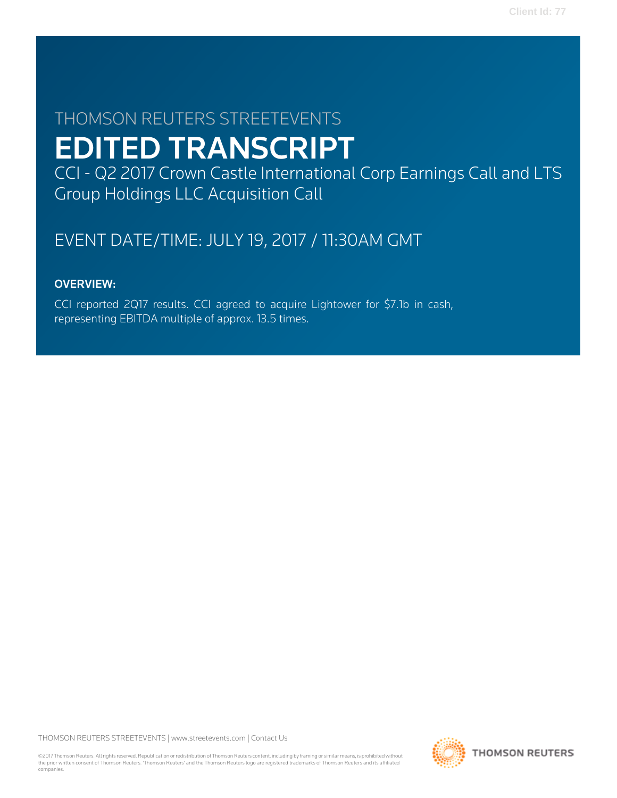# THOMSON REUTERS STREETEVENTS EDITED TRANSCRIPT

CCI - Q2 2017 Crown Castle International Corp Earnings Call and LTS Group Holdings LLC Acquisition Call

## EVENT DATE/TIME: JULY 19, 2017 / 11:30AM GMT

### OVERVIEW:

CCI reported 2Q17 results. CCI agreed to acquire Lightower for \$7.1b in cash, representing EBITDA multiple of approx. 13.5 times.

THOMSON REUTERS STREETEVENTS | [www.streetevents.com](http://www.streetevents.com) | [Contact Us](http://www010.streetevents.com/contact.asp)

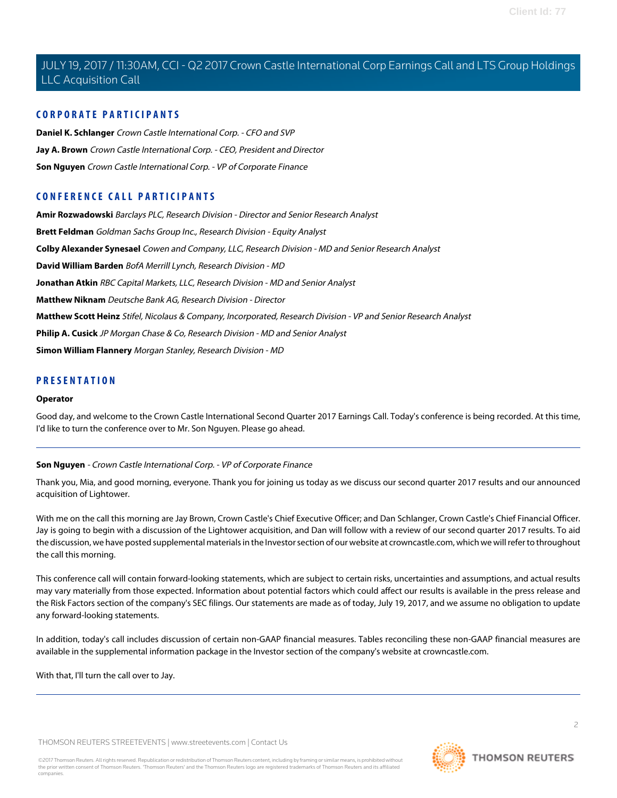### **CORPORATE PARTICIPANTS**

**[Daniel K. Schlanger](#page-4-0)** Crown Castle International Corp. - CFO and SVP **[Jay A. Brown](#page-2-0)** Crown Castle International Corp. - CEO, President and Director **[Son Nguyen](#page-1-0)** Crown Castle International Corp. - VP of Corporate Finance

### **CONFERENCE CALL PARTICIPANTS**

**[Amir Rozwadowski](#page-8-0)** Barclays PLC, Research Division - Director and Senior Research Analyst **[Brett Feldman](#page-11-0)** Goldman Sachs Group Inc., Research Division - Equity Analyst **[Colby Alexander Synesael](#page-10-0)** Cowen and Company, LLC, Research Division - MD and Senior Research Analyst **[David William Barden](#page-5-0)** BofA Merrill Lynch, Research Division - MD **[Jonathan Atkin](#page-13-0)** RBC Capital Markets, LLC, Research Division - MD and Senior Analyst **[Matthew Niknam](#page-6-0)** Deutsche Bank AG, Research Division - Director **[Matthew Scott Heinz](#page-12-0)** Stifel, Nicolaus & Company, Incorporated, Research Division - VP and Senior Research Analyst **[Philip A. Cusick](#page-9-0)** JP Morgan Chase & Co, Research Division - MD and Senior Analyst **[Simon William Flannery](#page-7-0)** Morgan Stanley, Research Division - MD

### **PRESENTATION**

#### **Operator**

<span id="page-1-0"></span>Good day, and welcome to the Crown Castle International Second Quarter 2017 Earnings Call. Today's conference is being recorded. At this time, I'd like to turn the conference over to Mr. Son Nguyen. Please go ahead.

### **Son Nguyen** - Crown Castle International Corp. - VP of Corporate Finance

Thank you, Mia, and good morning, everyone. Thank you for joining us today as we discuss our second quarter 2017 results and our announced acquisition of Lightower.

With me on the call this morning are Jay Brown, Crown Castle's Chief Executive Officer; and Dan Schlanger, Crown Castle's Chief Financial Officer. Jay is going to begin with a discussion of the Lightower acquisition, and Dan will follow with a review of our second quarter 2017 results. To aid the discussion, we have posted supplemental materials in the Investor section of our website at crowncastle.com, which we will refer to throughout the call this morning.

This conference call will contain forward-looking statements, which are subject to certain risks, uncertainties and assumptions, and actual results may vary materially from those expected. Information about potential factors which could affect our results is available in the press release and the Risk Factors section of the company's SEC filings. Our statements are made as of today, July 19, 2017, and we assume no obligation to update any forward-looking statements.

In addition, today's call includes discussion of certain non-GAAP financial measures. Tables reconciling these non-GAAP financial measures are available in the supplemental information package in the Investor section of the company's website at crowncastle.com.

With that, I'll turn the call over to Jay.

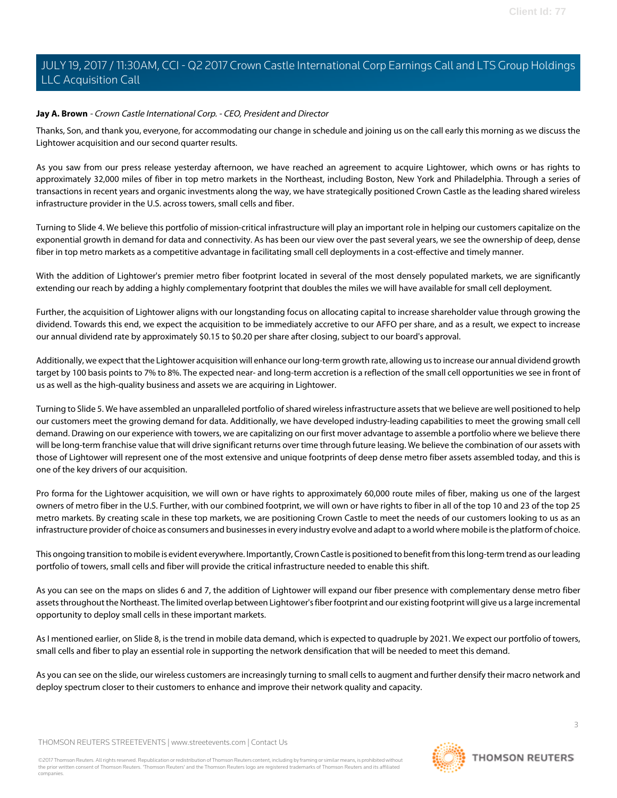### <span id="page-2-0"></span>**Jay A. Brown** - Crown Castle International Corp. - CEO, President and Director

Thanks, Son, and thank you, everyone, for accommodating our change in schedule and joining us on the call early this morning as we discuss the Lightower acquisition and our second quarter results.

As you saw from our press release yesterday afternoon, we have reached an agreement to acquire Lightower, which owns or has rights to approximately 32,000 miles of fiber in top metro markets in the Northeast, including Boston, New York and Philadelphia. Through a series of transactions in recent years and organic investments along the way, we have strategically positioned Crown Castle as the leading shared wireless infrastructure provider in the U.S. across towers, small cells and fiber.

Turning to Slide 4. We believe this portfolio of mission-critical infrastructure will play an important role in helping our customers capitalize on the exponential growth in demand for data and connectivity. As has been our view over the past several years, we see the ownership of deep, dense fiber in top metro markets as a competitive advantage in facilitating small cell deployments in a cost-effective and timely manner.

With the addition of Lightower's premier metro fiber footprint located in several of the most densely populated markets, we are significantly extending our reach by adding a highly complementary footprint that doubles the miles we will have available for small cell deployment.

Further, the acquisition of Lightower aligns with our longstanding focus on allocating capital to increase shareholder value through growing the dividend. Towards this end, we expect the acquisition to be immediately accretive to our AFFO per share, and as a result, we expect to increase our annual dividend rate by approximately \$0.15 to \$0.20 per share after closing, subject to our board's approval.

Additionally, we expect that the Lightower acquisition will enhance our long-term growth rate, allowing us to increase our annual dividend growth target by 100 basis points to 7% to 8%. The expected near- and long-term accretion is a reflection of the small cell opportunities we see in front of us as well as the high-quality business and assets we are acquiring in Lightower.

Turning to Slide 5. We have assembled an unparalleled portfolio of shared wireless infrastructure assets that we believe are well positioned to help our customers meet the growing demand for data. Additionally, we have developed industry-leading capabilities to meet the growing small cell demand. Drawing on our experience with towers, we are capitalizing on our first mover advantage to assemble a portfolio where we believe there will be long-term franchise value that will drive significant returns over time through future leasing. We believe the combination of our assets with those of Lightower will represent one of the most extensive and unique footprints of deep dense metro fiber assets assembled today, and this is one of the key drivers of our acquisition.

Pro forma for the Lightower acquisition, we will own or have rights to approximately 60,000 route miles of fiber, making us one of the largest owners of metro fiber in the U.S. Further, with our combined footprint, we will own or have rights to fiber in all of the top 10 and 23 of the top 25 metro markets. By creating scale in these top markets, we are positioning Crown Castle to meet the needs of our customers looking to us as an infrastructure provider of choice as consumers and businesses in every industry evolve and adapt to a world where mobile is the platform of choice.

This ongoing transition to mobile is evident everywhere. Importantly, Crown Castle is positioned to benefit from this long-term trend as our leading portfolio of towers, small cells and fiber will provide the critical infrastructure needed to enable this shift.

As you can see on the maps on slides 6 and 7, the addition of Lightower will expand our fiber presence with complementary dense metro fiber assets throughout the Northeast. The limited overlap between Lightower's fiber footprint and our existing footprint will give us a large incremental opportunity to deploy small cells in these important markets.

As I mentioned earlier, on Slide 8, is the trend in mobile data demand, which is expected to quadruple by 2021. We expect our portfolio of towers, small cells and fiber to play an essential role in supporting the network densification that will be needed to meet this demand.

As you can see on the slide, our wireless customers are increasingly turning to small cells to augment and further densify their macro network and deploy spectrum closer to their customers to enhance and improve their network quality and capacity.

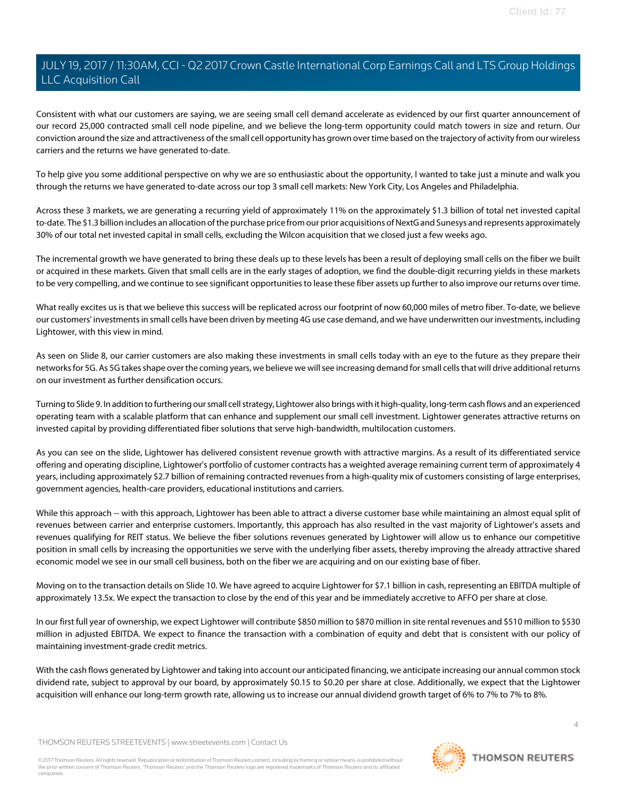Consistent with what our customers are saying, we are seeing small cell demand accelerate as evidenced by our first quarter announcement of our record 25,000 contracted small cell node pipeline, and we believe the long-term opportunity could match towers in size and return. Our conviction around the size and attractiveness of the small cell opportunity has grown over time based on the trajectory of activity from our wireless carriers and the returns we have generated to-date.

To help give you some additional perspective on why we are so enthusiastic about the opportunity, I wanted to take just a minute and walk you through the returns we have generated to-date across our top 3 small cell markets: New York City, Los Angeles and Philadelphia.

Across these 3 markets, we are generating a recurring yield of approximately 11% on the approximately \$1.3 billion of total net invested capital to-date. The \$1.3 billion includes an allocation of the purchase price from our prior acquisitions of NextG and Sunesys and represents approximately 30% of our total net invested capital in small cells, excluding the Wilcon acquisition that we closed just a few weeks ago.

The incremental growth we have generated to bring these deals up to these levels has been a result of deploying small cells on the fiber we built or acquired in these markets. Given that small cells are in the early stages of adoption, we find the double-digit recurring yields in these markets to be very compelling, and we continue to see significant opportunities to lease these fiber assets up further to also improve our returns over time.

What really excites us is that we believe this success will be replicated across our footprint of now 60,000 miles of metro fiber. To-date, we believe our customers' investments in small cells have been driven by meeting 4G use case demand, and we have underwritten our investments, including Lightower, with this view in mind.

As seen on Slide 8, our carrier customers are also making these investments in small cells today with an eye to the future as they prepare their networks for 5G. As 5G takes shape over the coming years, we believe we will see increasing demand for small cells that will drive additional returns on our investment as further densification occurs.

Turning to Slide 9. In addition to furthering our small cell strategy, Lightower also brings with it high-quality, long-term cash flows and an experienced operating team with a scalable platform that can enhance and supplement our small cell investment. Lightower generates attractive returns on invested capital by providing differentiated fiber solutions that serve high-bandwidth, multilocation customers.

As you can see on the slide, Lightower has delivered consistent revenue growth with attractive margins. As a result of its differentiated service offering and operating discipline, Lightower's portfolio of customer contracts has a weighted average remaining current term of approximately 4 years, including approximately \$2.7 billion of remaining contracted revenues from a high-quality mix of customers consisting of large enterprises, government agencies, health-care providers, educational institutions and carriers.

While this approach -- with this approach, Lightower has been able to attract a diverse customer base while maintaining an almost equal split of revenues between carrier and enterprise customers. Importantly, this approach has also resulted in the vast majority of Lightower's assets and revenues qualifying for REIT status. We believe the fiber solutions revenues generated by Lightower will allow us to enhance our competitive position in small cells by increasing the opportunities we serve with the underlying fiber assets, thereby improving the already attractive shared economic model we see in our small cell business, both on the fiber we are acquiring and on our existing base of fiber.

Moving on to the transaction details on Slide 10. We have agreed to acquire Lightower for \$7.1 billion in cash, representing an EBITDA multiple of approximately 13.5x. We expect the transaction to close by the end of this year and be immediately accretive to AFFO per share at close.

In our first full year of ownership, we expect Lightower will contribute \$850 million to \$870 million in site rental revenues and \$510 million to \$530 million in adjusted EBITDA. We expect to finance the transaction with a combination of equity and debt that is consistent with our policy of maintaining investment-grade credit metrics.

With the cash flows generated by Lightower and taking into account our anticipated financing, we anticipate increasing our annual common stock dividend rate, subject to approval by our board, by approximately \$0.15 to \$0.20 per share at close. Additionally, we expect that the Lightower acquisition will enhance our long-term growth rate, allowing us to increase our annual dividend growth target of 6% to 7% to 7% to 8%.

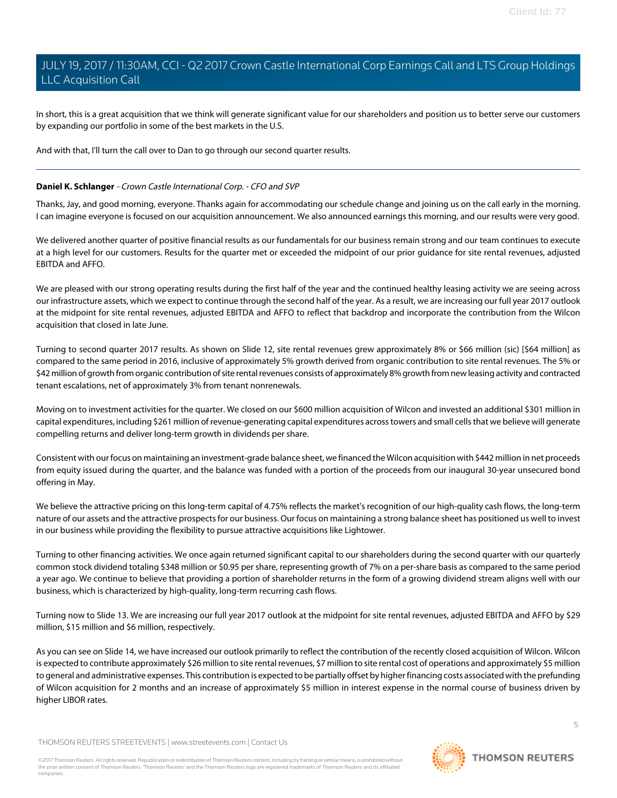In short, this is a great acquisition that we think will generate significant value for our shareholders and position us to better serve our customers by expanding our portfolio in some of the best markets in the U.S.

And with that, I'll turn the call over to Dan to go through our second quarter results.

### <span id="page-4-0"></span>**Daniel K. Schlanger** - Crown Castle International Corp. - CFO and SVP

Thanks, Jay, and good morning, everyone. Thanks again for accommodating our schedule change and joining us on the call early in the morning. I can imagine everyone is focused on our acquisition announcement. We also announced earnings this morning, and our results were very good.

We delivered another quarter of positive financial results as our fundamentals for our business remain strong and our team continues to execute at a high level for our customers. Results for the quarter met or exceeded the midpoint of our prior guidance for site rental revenues, adjusted EBITDA and AFFO.

We are pleased with our strong operating results during the first half of the year and the continued healthy leasing activity we are seeing across our infrastructure assets, which we expect to continue through the second half of the year. As a result, we are increasing our full year 2017 outlook at the midpoint for site rental revenues, adjusted EBITDA and AFFO to reflect that backdrop and incorporate the contribution from the Wilcon acquisition that closed in late June.

Turning to second quarter 2017 results. As shown on Slide 12, site rental revenues grew approximately 8% or \$66 million (sic) [\$64 million] as compared to the same period in 2016, inclusive of approximately 5% growth derived from organic contribution to site rental revenues. The 5% or \$42 million of growth from organic contribution of site rental revenues consists of approximately 8% growth from new leasing activity and contracted tenant escalations, net of approximately 3% from tenant nonrenewals.

Moving on to investment activities for the quarter. We closed on our \$600 million acquisition of Wilcon and invested an additional \$301 million in capital expenditures, including \$261 million of revenue-generating capital expenditures across towers and small cells that we believe will generate compelling returns and deliver long-term growth in dividends per share.

Consistent with our focus on maintaining an investment-grade balance sheet, we financed the Wilcon acquisition with \$442 million in net proceeds from equity issued during the quarter, and the balance was funded with a portion of the proceeds from our inaugural 30-year unsecured bond offering in May.

We believe the attractive pricing on this long-term capital of 4.75% reflects the market's recognition of our high-quality cash flows, the long-term nature of our assets and the attractive prospects for our business. Our focus on maintaining a strong balance sheet has positioned us well to invest in our business while providing the flexibility to pursue attractive acquisitions like Lightower.

Turning to other financing activities. We once again returned significant capital to our shareholders during the second quarter with our quarterly common stock dividend totaling \$348 million or \$0.95 per share, representing growth of 7% on a per-share basis as compared to the same period a year ago. We continue to believe that providing a portion of shareholder returns in the form of a growing dividend stream aligns well with our business, which is characterized by high-quality, long-term recurring cash flows.

Turning now to Slide 13. We are increasing our full year 2017 outlook at the midpoint for site rental revenues, adjusted EBITDA and AFFO by \$29 million, \$15 million and \$6 million, respectively.

As you can see on Slide 14, we have increased our outlook primarily to reflect the contribution of the recently closed acquisition of Wilcon. Wilcon is expected to contribute approximately \$26 million to site rental revenues, \$7 million to site rental cost of operations and approximately \$5 million to general and administrative expenses. This contribution is expected to be partially offset by higher financing costs associated with the prefunding of Wilcon acquisition for 2 months and an increase of approximately \$5 million in interest expense in the normal course of business driven by higher LIBOR rates.

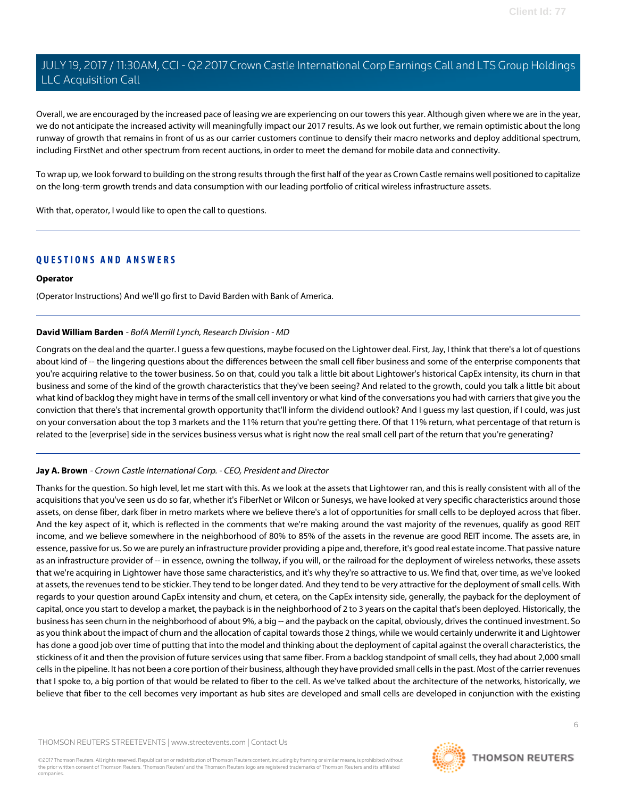Overall, we are encouraged by the increased pace of leasing we are experiencing on our towers this year. Although given where we are in the year, we do not anticipate the increased activity will meaningfully impact our 2017 results. As we look out further, we remain optimistic about the long runway of growth that remains in front of us as our carrier customers continue to densify their macro networks and deploy additional spectrum, including FirstNet and other spectrum from recent auctions, in order to meet the demand for mobile data and connectivity.

To wrap up, we look forward to building on the strong results through the first half of the year as Crown Castle remains well positioned to capitalize on the long-term growth trends and data consumption with our leading portfolio of critical wireless infrastructure assets.

With that, operator, I would like to open the call to questions.

### **QUESTIONS AND ANSWERS**

#### **Operator**

<span id="page-5-0"></span>(Operator Instructions) And we'll go first to David Barden with Bank of America.

### **David William Barden** - BofA Merrill Lynch, Research Division - MD

Congrats on the deal and the quarter. I guess a few questions, maybe focused on the Lightower deal. First, Jay, I think that there's a lot of questions about kind of -- the lingering questions about the differences between the small cell fiber business and some of the enterprise components that you're acquiring relative to the tower business. So on that, could you talk a little bit about Lightower's historical CapEx intensity, its churn in that business and some of the kind of the growth characteristics that they've been seeing? And related to the growth, could you talk a little bit about what kind of backlog they might have in terms of the small cell inventory or what kind of the conversations you had with carriers that give you the conviction that there's that incremental growth opportunity that'll inform the dividend outlook? And I guess my last question, if I could, was just on your conversation about the top 3 markets and the 11% return that you're getting there. Of that 11% return, what percentage of that return is related to the [everprise] side in the services business versus what is right now the real small cell part of the return that you're generating?

### **Jay A. Brown** - Crown Castle International Corp. - CEO, President and Director

Thanks for the question. So high level, let me start with this. As we look at the assets that Lightower ran, and this is really consistent with all of the acquisitions that you've seen us do so far, whether it's FiberNet or Wilcon or Sunesys, we have looked at very specific characteristics around those assets, on dense fiber, dark fiber in metro markets where we believe there's a lot of opportunities for small cells to be deployed across that fiber. And the key aspect of it, which is reflected in the comments that we're making around the vast majority of the revenues, qualify as good REIT income, and we believe somewhere in the neighborhood of 80% to 85% of the assets in the revenue are good REIT income. The assets are, in essence, passive for us. So we are purely an infrastructure provider providing a pipe and, therefore, it's good real estate income. That passive nature as an infrastructure provider of -- in essence, owning the tollway, if you will, or the railroad for the deployment of wireless networks, these assets that we're acquiring in Lightower have those same characteristics, and it's why they're so attractive to us. We find that, over time, as we've looked at assets, the revenues tend to be stickier. They tend to be longer dated. And they tend to be very attractive for the deployment of small cells. With regards to your question around CapEx intensity and churn, et cetera, on the CapEx intensity side, generally, the payback for the deployment of capital, once you start to develop a market, the payback is in the neighborhood of 2 to 3 years on the capital that's been deployed. Historically, the business has seen churn in the neighborhood of about 9%, a big -- and the payback on the capital, obviously, drives the continued investment. So as you think about the impact of churn and the allocation of capital towards those 2 things, while we would certainly underwrite it and Lightower has done a good job over time of putting that into the model and thinking about the deployment of capital against the overall characteristics, the stickiness of it and then the provision of future services using that same fiber. From a backlog standpoint of small cells, they had about 2,000 small cells in the pipeline. It has not been a core portion of their business, although they have provided small cells in the past. Most of the carrier revenues that I spoke to, a big portion of that would be related to fiber to the cell. As we've talked about the architecture of the networks, historically, we believe that fiber to the cell becomes very important as hub sites are developed and small cells are developed in conjunction with the existing

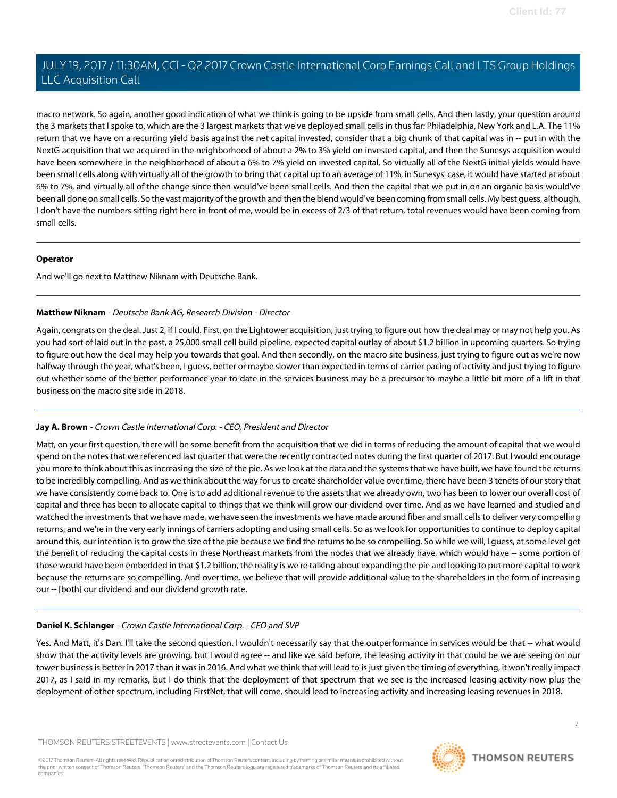macro network. So again, another good indication of what we think is going to be upside from small cells. And then lastly, your question around the 3 markets that I spoke to, which are the 3 largest markets that we've deployed small cells in thus far: Philadelphia, New York and L.A. The 11% return that we have on a recurring yield basis against the net capital invested, consider that a big chunk of that capital was in -- put in with the NextG acquisition that we acquired in the neighborhood of about a 2% to 3% yield on invested capital, and then the Sunesys acquisition would have been somewhere in the neighborhood of about a 6% to 7% yield on invested capital. So virtually all of the NextG initial yields would have been small cells along with virtually all of the growth to bring that capital up to an average of 11%, in Sunesys' case, it would have started at about 6% to 7%, and virtually all of the change since then would've been small cells. And then the capital that we put in on an organic basis would've been all done on small cells. So the vast majority of the growth and then the blend would've been coming from small cells. My best guess, although, I don't have the numbers sitting right here in front of me, would be in excess of 2/3 of that return, total revenues would have been coming from small cells.

### **Operator**

<span id="page-6-0"></span>And we'll go next to Matthew Niknam with Deutsche Bank.

### **Matthew Niknam** - Deutsche Bank AG, Research Division - Director

Again, congrats on the deal. Just 2, if I could. First, on the Lightower acquisition, just trying to figure out how the deal may or may not help you. As you had sort of laid out in the past, a 25,000 small cell build pipeline, expected capital outlay of about \$1.2 billion in upcoming quarters. So trying to figure out how the deal may help you towards that goal. And then secondly, on the macro site business, just trying to figure out as we're now halfway through the year, what's been, I guess, better or maybe slower than expected in terms of carrier pacing of activity and just trying to figure out whether some of the better performance year-to-date in the services business may be a precursor to maybe a little bit more of a lift in that business on the macro site side in 2018.

### **Jay A. Brown** - Crown Castle International Corp. - CEO, President and Director

Matt, on your first question, there will be some benefit from the acquisition that we did in terms of reducing the amount of capital that we would spend on the notes that we referenced last quarter that were the recently contracted notes during the first quarter of 2017. But I would encourage you more to think about this as increasing the size of the pie. As we look at the data and the systems that we have built, we have found the returns to be incredibly compelling. And as we think about the way for us to create shareholder value over time, there have been 3 tenets of our story that we have consistently come back to. One is to add additional revenue to the assets that we already own, two has been to lower our overall cost of capital and three has been to allocate capital to things that we think will grow our dividend over time. And as we have learned and studied and watched the investments that we have made, we have seen the investments we have made around fiber and small cells to deliver very compelling returns, and we're in the very early innings of carriers adopting and using small cells. So as we look for opportunities to continue to deploy capital around this, our intention is to grow the size of the pie because we find the returns to be so compelling. So while we will, I guess, at some level get the benefit of reducing the capital costs in these Northeast markets from the nodes that we already have, which would have -- some portion of those would have been embedded in that \$1.2 billion, the reality is we're talking about expanding the pie and looking to put more capital to work because the returns are so compelling. And over time, we believe that will provide additional value to the shareholders in the form of increasing our -- [both] our dividend and our dividend growth rate.

### **Daniel K. Schlanger** - Crown Castle International Corp. - CFO and SVP

Yes. And Matt, it's Dan. I'll take the second question. I wouldn't necessarily say that the outperformance in services would be that -- what would show that the activity levels are growing, but I would agree -- and like we said before, the leasing activity in that could be we are seeing on our tower business is better in 2017 than it was in 2016. And what we think that will lead to is just given the timing of everything, it won't really impact 2017, as I said in my remarks, but I do think that the deployment of that spectrum that we see is the increased leasing activity now plus the deployment of other spectrum, including FirstNet, that will come, should lead to increasing activity and increasing leasing revenues in 2018.

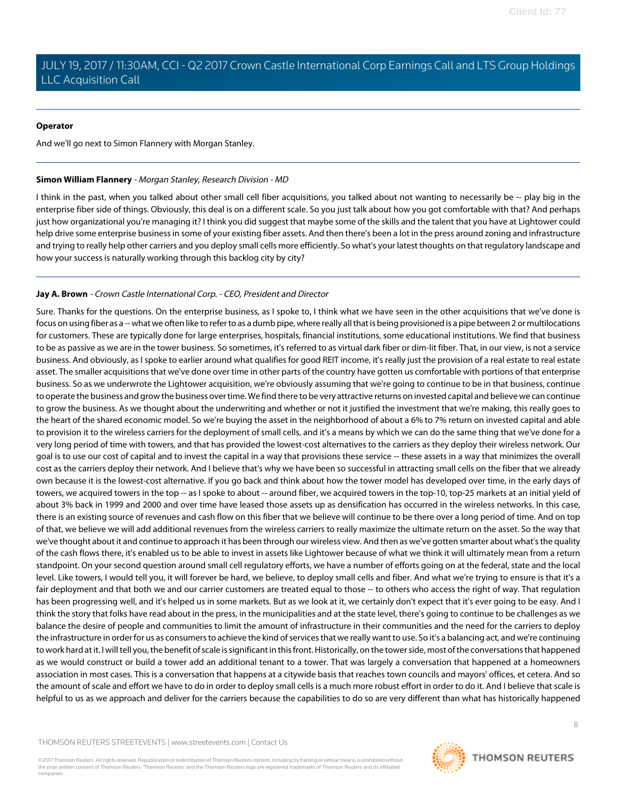#### **Operator**

<span id="page-7-0"></span>And we'll go next to Simon Flannery with Morgan Stanley.

#### **Simon William Flannery** - Morgan Stanley, Research Division - MD

I think in the past, when you talked about other small cell fiber acquisitions, you talked about not wanting to necessarily be -- play big in the enterprise fiber side of things. Obviously, this deal is on a different scale. So you just talk about how you got comfortable with that? And perhaps just how organizational you're managing it? I think you did suggest that maybe some of the skills and the talent that you have at Lightower could help drive some enterprise business in some of your existing fiber assets. And then there's been a lot in the press around zoning and infrastructure and trying to really help other carriers and you deploy small cells more efficiently. So what's your latest thoughts on that regulatory landscape and how your success is naturally working through this backlog city by city?

### **Jay A. Brown** - Crown Castle International Corp. - CEO, President and Director

Sure. Thanks for the questions. On the enterprise business, as I spoke to, I think what we have seen in the other acquisitions that we've done is focus on using fiber as a -- what we often like to refer to as a dumb pipe, where really all that is being provisioned is a pipe between 2 or multilocations for customers. These are typically done for large enterprises, hospitals, financial institutions, some educational institutions. We find that business to be as passive as we are in the tower business. So sometimes, it's referred to as virtual dark fiber or dim-lit fiber. That, in our view, is not a service business. And obviously, as I spoke to earlier around what qualifies for good REIT income, it's really just the provision of a real estate to real estate asset. The smaller acquisitions that we've done over time in other parts of the country have gotten us comfortable with portions of that enterprise business. So as we underwrote the Lightower acquisition, we're obviously assuming that we're going to continue to be in that business, continue to operate the business and grow the business over time. We find there to be very attractive returns on invested capital and believe we can continue to grow the business. As we thought about the underwriting and whether or not it justified the investment that we're making, this really goes to the heart of the shared economic model. So we're buying the asset in the neighborhood of about a 6% to 7% return on invested capital and able to provision it to the wireless carriers for the deployment of small cells, and it's a means by which we can do the same thing that we've done for a very long period of time with towers, and that has provided the lowest-cost alternatives to the carriers as they deploy their wireless network. Our goal is to use our cost of capital and to invest the capital in a way that provisions these service -- these assets in a way that minimizes the overall cost as the carriers deploy their network. And I believe that's why we have been so successful in attracting small cells on the fiber that we already own because it is the lowest-cost alternative. If you go back and think about how the tower model has developed over time, in the early days of towers, we acquired towers in the top -- as I spoke to about -- around fiber, we acquired towers in the top-10, top-25 markets at an initial yield of about 3% back in 1999 and 2000 and over time have leased those assets up as densification has occurred in the wireless networks. In this case, there is an existing source of revenues and cash flow on this fiber that we believe will continue to be there over a long period of time. And on top of that, we believe we will add additional revenues from the wireless carriers to really maximize the ultimate return on the asset. So the way that we've thought about it and continue to approach it has been through our wireless view. And then as we've gotten smarter about what's the quality of the cash flows there, it's enabled us to be able to invest in assets like Lightower because of what we think it will ultimately mean from a return standpoint. On your second question around small cell regulatory efforts, we have a number of efforts going on at the federal, state and the local level. Like towers, I would tell you, it will forever be hard, we believe, to deploy small cells and fiber. And what we're trying to ensure is that it's a fair deployment and that both we and our carrier customers are treated equal to those -- to others who access the right of way. That regulation has been progressing well, and it's helped us in some markets. But as we look at it, we certainly don't expect that it's ever going to be easy. And I think the story that folks have read about in the press, in the municipalities and at the state level, there's going to continue to be challenges as we balance the desire of people and communities to limit the amount of infrastructure in their communities and the need for the carriers to deploy the infrastructure in order for us as consumers to achieve the kind of services that we really want to use. So it's a balancing act, and we're continuing to work hard at it. I will tell you, the benefit of scale is significant in this front. Historically, on the tower side, most of the conversations that happened as we would construct or build a tower add an additional tenant to a tower. That was largely a conversation that happened at a homeowners association in most cases. This is a conversation that happens at a citywide basis that reaches town councils and mayors' offices, et cetera. And so the amount of scale and effort we have to do in order to deploy small cells is a much more robust effort in order to do it. And I believe that scale is helpful to us as we approach and deliver for the carriers because the capabilities to do so are very different than what has historically happened

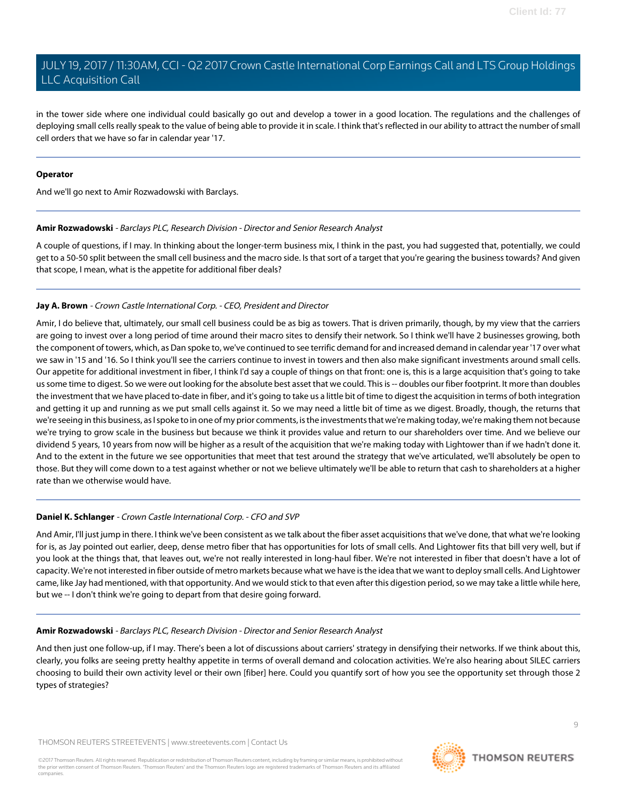in the tower side where one individual could basically go out and develop a tower in a good location. The regulations and the challenges of deploying small cells really speak to the value of being able to provide it in scale. I think that's reflected in our ability to attract the number of small cell orders that we have so far in calendar year '17.

#### **Operator**

<span id="page-8-0"></span>And we'll go next to Amir Rozwadowski with Barclays.

### **Amir Rozwadowski** - Barclays PLC, Research Division - Director and Senior Research Analyst

A couple of questions, if I may. In thinking about the longer-term business mix, I think in the past, you had suggested that, potentially, we could get to a 50-50 split between the small cell business and the macro side. Is that sort of a target that you're gearing the business towards? And given that scope, I mean, what is the appetite for additional fiber deals?

### **Jay A. Brown** - Crown Castle International Corp. - CEO, President and Director

Amir, I do believe that, ultimately, our small cell business could be as big as towers. That is driven primarily, though, by my view that the carriers are going to invest over a long period of time around their macro sites to densify their network. So I think we'll have 2 businesses growing, both the component of towers, which, as Dan spoke to, we've continued to see terrific demand for and increased demand in calendar year '17 over what we saw in '15 and '16. So I think you'll see the carriers continue to invest in towers and then also make significant investments around small cells. Our appetite for additional investment in fiber, I think I'd say a couple of things on that front: one is, this is a large acquisition that's going to take us some time to digest. So we were out looking for the absolute best asset that we could. This is -- doubles our fiber footprint. It more than doubles the investment that we have placed to-date in fiber, and it's going to take us a little bit of time to digest the acquisition in terms of both integration and getting it up and running as we put small cells against it. So we may need a little bit of time as we digest. Broadly, though, the returns that we're seeing in this business, as I spoke to in one of my prior comments, is the investments that we're making today, we're making them not because we're trying to grow scale in the business but because we think it provides value and return to our shareholders over time. And we believe our dividend 5 years, 10 years from now will be higher as a result of the acquisition that we're making today with Lightower than if we hadn't done it. And to the extent in the future we see opportunities that meet that test around the strategy that we've articulated, we'll absolutely be open to those. But they will come down to a test against whether or not we believe ultimately we'll be able to return that cash to shareholders at a higher rate than we otherwise would have.

### **Daniel K. Schlanger** - Crown Castle International Corp. - CFO and SVP

And Amir, I'll just jump in there. I think we've been consistent as we talk about the fiber asset acquisitions that we've done, that what we're looking for is, as Jay pointed out earlier, deep, dense metro fiber that has opportunities for lots of small cells. And Lightower fits that bill very well, but if you look at the things that, that leaves out, we're not really interested in long-haul fiber. We're not interested in fiber that doesn't have a lot of capacity. We're not interested in fiber outside of metro markets because what we have is the idea that we want to deploy small cells. And Lightower came, like Jay had mentioned, with that opportunity. And we would stick to that even after this digestion period, so we may take a little while here, but we -- I don't think we're going to depart from that desire going forward.

### **Amir Rozwadowski** - Barclays PLC, Research Division - Director and Senior Research Analyst

And then just one follow-up, if I may. There's been a lot of discussions about carriers' strategy in densifying their networks. If we think about this, clearly, you folks are seeing pretty healthy appetite in terms of overall demand and colocation activities. We're also hearing about SILEC carriers choosing to build their own activity level or their own [fiber] here. Could you quantify sort of how you see the opportunity set through those 2 types of strategies?

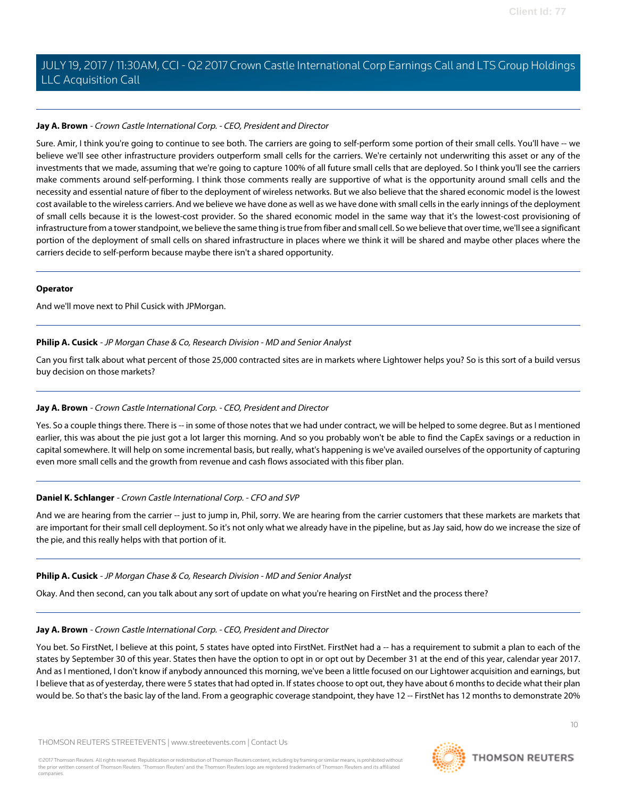### **Jay A. Brown** - Crown Castle International Corp. - CEO, President and Director

Sure. Amir, I think you're going to continue to see both. The carriers are going to self-perform some portion of their small cells. You'll have -- we believe we'll see other infrastructure providers outperform small cells for the carriers. We're certainly not underwriting this asset or any of the investments that we made, assuming that we're going to capture 100% of all future small cells that are deployed. So I think you'll see the carriers make comments around self-performing. I think those comments really are supportive of what is the opportunity around small cells and the necessity and essential nature of fiber to the deployment of wireless networks. But we also believe that the shared economic model is the lowest cost available to the wireless carriers. And we believe we have done as well as we have done with small cells in the early innings of the deployment of small cells because it is the lowest-cost provider. So the shared economic model in the same way that it's the lowest-cost provisioning of infrastructure from a tower standpoint, we believe the same thing is true from fiber and small cell. So we believe that over time, we'll see a significant portion of the deployment of small cells on shared infrastructure in places where we think it will be shared and maybe other places where the carriers decide to self-perform because maybe there isn't a shared opportunity.

### **Operator**

<span id="page-9-0"></span>And we'll move next to Phil Cusick with JPMorgan.

### **Philip A. Cusick** - JP Morgan Chase & Co, Research Division - MD and Senior Analyst

Can you first talk about what percent of those 25,000 contracted sites are in markets where Lightower helps you? So is this sort of a build versus buy decision on those markets?

### **Jay A. Brown** - Crown Castle International Corp. - CEO, President and Director

Yes. So a couple things there. There is -- in some of those notes that we had under contract, we will be helped to some degree. But as I mentioned earlier, this was about the pie just got a lot larger this morning. And so you probably won't be able to find the CapEx savings or a reduction in capital somewhere. It will help on some incremental basis, but really, what's happening is we've availed ourselves of the opportunity of capturing even more small cells and the growth from revenue and cash flows associated with this fiber plan.

### **Daniel K. Schlanger** - Crown Castle International Corp. - CFO and SVP

And we are hearing from the carrier -- just to jump in, Phil, sorry. We are hearing from the carrier customers that these markets are markets that are important for their small cell deployment. So it's not only what we already have in the pipeline, but as Jay said, how do we increase the size of the pie, and this really helps with that portion of it.

### **Philip A. Cusick** - JP Morgan Chase & Co, Research Division - MD and Senior Analyst

Okay. And then second, can you talk about any sort of update on what you're hearing on FirstNet and the process there?

### **Jay A. Brown** - Crown Castle International Corp. - CEO, President and Director

You bet. So FirstNet, I believe at this point, 5 states have opted into FirstNet. FirstNet had a -- has a requirement to submit a plan to each of the states by September 30 of this year. States then have the option to opt in or opt out by December 31 at the end of this year, calendar year 2017. And as I mentioned, I don't know if anybody announced this morning, we've been a little focused on our Lightower acquisition and earnings, but I believe that as of yesterday, there were 5 states that had opted in. If states choose to opt out, they have about 6 months to decide what their plan would be. So that's the basic lay of the land. From a geographic coverage standpoint, they have 12 -- FirstNet has 12 months to demonstrate 20%

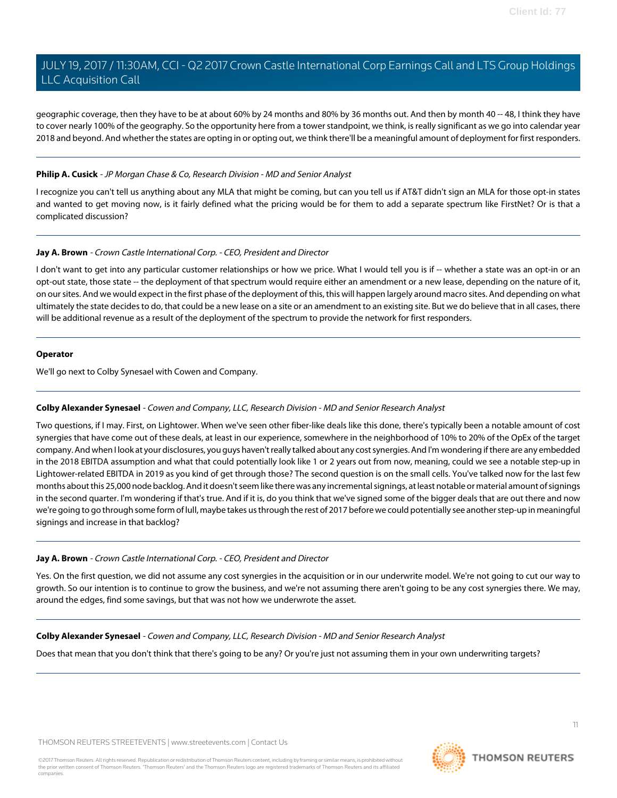geographic coverage, then they have to be at about 60% by 24 months and 80% by 36 months out. And then by month 40 -- 48, I think they have to cover nearly 100% of the geography. So the opportunity here from a tower standpoint, we think, is really significant as we go into calendar year 2018 and beyond. And whether the states are opting in or opting out, we think there'll be a meaningful amount of deployment for first responders.

### **Philip A. Cusick** - JP Morgan Chase & Co, Research Division - MD and Senior Analyst

I recognize you can't tell us anything about any MLA that might be coming, but can you tell us if AT&T didn't sign an MLA for those opt-in states and wanted to get moving now, is it fairly defined what the pricing would be for them to add a separate spectrum like FirstNet? Or is that a complicated discussion?

### **Jay A. Brown** - Crown Castle International Corp. - CEO, President and Director

I don't want to get into any particular customer relationships or how we price. What I would tell you is if -- whether a state was an opt-in or an opt-out state, those state -- the deployment of that spectrum would require either an amendment or a new lease, depending on the nature of it, on our sites. And we would expect in the first phase of the deployment of this, this will happen largely around macro sites. And depending on what ultimately the state decides to do, that could be a new lease on a site or an amendment to an existing site. But we do believe that in all cases, there will be additional revenue as a result of the deployment of the spectrum to provide the network for first responders.

### **Operator**

<span id="page-10-0"></span>We'll go next to Colby Synesael with Cowen and Company.

### **Colby Alexander Synesael** - Cowen and Company, LLC, Research Division - MD and Senior Research Analyst

Two questions, if I may. First, on Lightower. When we've seen other fiber-like deals like this done, there's typically been a notable amount of cost synergies that have come out of these deals, at least in our experience, somewhere in the neighborhood of 10% to 20% of the OpEx of the target company. And when I look at your disclosures, you guys haven't really talked about any cost synergies. And I'm wondering if there are any embedded in the 2018 EBITDA assumption and what that could potentially look like 1 or 2 years out from now, meaning, could we see a notable step-up in Lightower-related EBITDA in 2019 as you kind of get through those? The second question is on the small cells. You've talked now for the last few months about this 25,000 node backlog. And it doesn't seem like there was any incremental signings, at least notable or material amount of signings in the second quarter. I'm wondering if that's true. And if it is, do you think that we've signed some of the bigger deals that are out there and now we're going to go through some form of lull, maybe takes us through the rest of 2017 before we could potentially see another step-up in meaningful signings and increase in that backlog?

### **Jay A. Brown** - Crown Castle International Corp. - CEO, President and Director

Yes. On the first question, we did not assume any cost synergies in the acquisition or in our underwrite model. We're not going to cut our way to growth. So our intention is to continue to grow the business, and we're not assuming there aren't going to be any cost synergies there. We may, around the edges, find some savings, but that was not how we underwrote the asset.

### **Colby Alexander Synesael** - Cowen and Company, LLC, Research Division - MD and Senior Research Analyst

Does that mean that you don't think that there's going to be any? Or you're just not assuming them in your own underwriting targets?

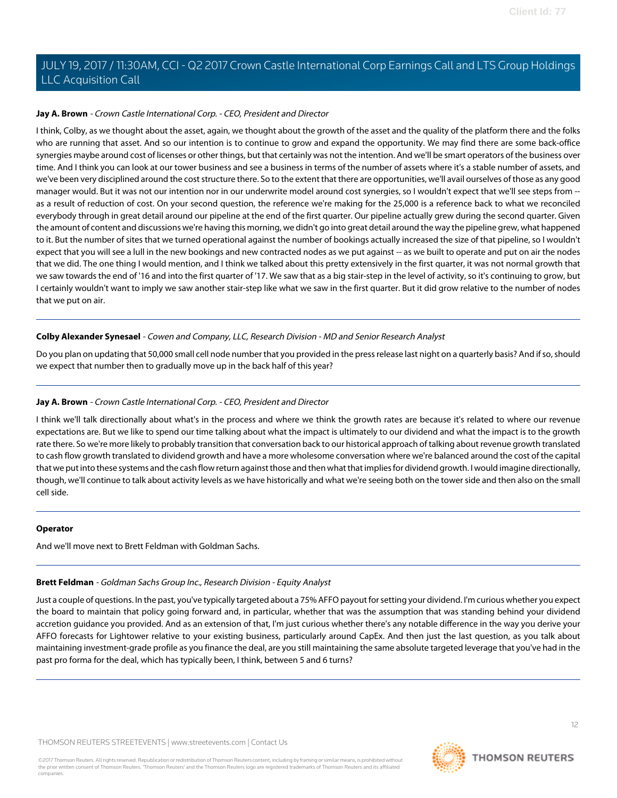### **Jay A. Brown** - Crown Castle International Corp. - CEO, President and Director

I think, Colby, as we thought about the asset, again, we thought about the growth of the asset and the quality of the platform there and the folks who are running that asset. And so our intention is to continue to grow and expand the opportunity. We may find there are some back-office synergies maybe around cost of licenses or other things, but that certainly was not the intention. And we'll be smart operators of the business over time. And I think you can look at our tower business and see a business in terms of the number of assets where it's a stable number of assets, and we've been very disciplined around the cost structure there. So to the extent that there are opportunities, we'll avail ourselves of those as any good manager would. But it was not our intention nor in our underwrite model around cost synergies, so I wouldn't expect that we'll see steps from - as a result of reduction of cost. On your second question, the reference we're making for the 25,000 is a reference back to what we reconciled everybody through in great detail around our pipeline at the end of the first quarter. Our pipeline actually grew during the second quarter. Given the amount of content and discussions we're having this morning, we didn't go into great detail around the way the pipeline grew, what happened to it. But the number of sites that we turned operational against the number of bookings actually increased the size of that pipeline, so I wouldn't expect that you will see a lull in the new bookings and new contracted nodes as we put against -- as we built to operate and put on air the nodes that we did. The one thing I would mention, and I think we talked about this pretty extensively in the first quarter, it was not normal growth that we saw towards the end of '16 and into the first quarter of '17. We saw that as a big stair-step in the level of activity, so it's continuing to grow, but I certainly wouldn't want to imply we saw another stair-step like what we saw in the first quarter. But it did grow relative to the number of nodes that we put on air.

### **Colby Alexander Synesael** - Cowen and Company, LLC, Research Division - MD and Senior Research Analyst

Do you plan on updating that 50,000 small cell node number that you provided in the press release last night on a quarterly basis? And if so, should we expect that number then to gradually move up in the back half of this year?

### **Jay A. Brown** - Crown Castle International Corp. - CEO, President and Director

I think we'll talk directionally about what's in the process and where we think the growth rates are because it's related to where our revenue expectations are. But we like to spend our time talking about what the impact is ultimately to our dividend and what the impact is to the growth rate there. So we're more likely to probably transition that conversation back to our historical approach of talking about revenue growth translated to cash flow growth translated to dividend growth and have a more wholesome conversation where we're balanced around the cost of the capital that we put into these systems and the cash flow return against those and then what that implies for dividend growth. I would imagine directionally, though, we'll continue to talk about activity levels as we have historically and what we're seeing both on the tower side and then also on the small cell side.

### <span id="page-11-0"></span>**Operator**

And we'll move next to Brett Feldman with Goldman Sachs.

### **Brett Feldman** - Goldman Sachs Group Inc., Research Division - Equity Analyst

Just a couple of questions. In the past, you've typically targeted about a 75% AFFO payout for setting your dividend. I'm curious whether you expect the board to maintain that policy going forward and, in particular, whether that was the assumption that was standing behind your dividend accretion guidance you provided. And as an extension of that, I'm just curious whether there's any notable difference in the way you derive your AFFO forecasts for Lightower relative to your existing business, particularly around CapEx. And then just the last question, as you talk about maintaining investment-grade profile as you finance the deal, are you still maintaining the same absolute targeted leverage that you've had in the past pro forma for the deal, which has typically been, I think, between 5 and 6 turns?

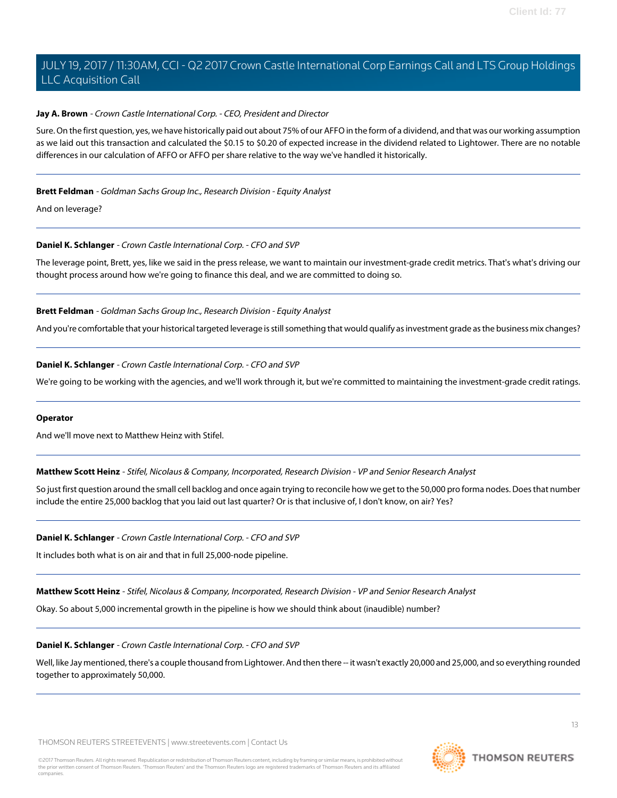### **Jay A. Brown** - Crown Castle International Corp. - CEO, President and Director

Sure. On the first question, yes, we have historically paid out about 75% of our AFFO in the form of a dividend, and that was our working assumption as we laid out this transaction and calculated the \$0.15 to \$0.20 of expected increase in the dividend related to Lightower. There are no notable differences in our calculation of AFFO or AFFO per share relative to the way we've handled it historically.

### **Brett Feldman** - Goldman Sachs Group Inc., Research Division - Equity Analyst

And on leverage?

### **Daniel K. Schlanger** - Crown Castle International Corp. - CFO and SVP

The leverage point, Brett, yes, like we said in the press release, we want to maintain our investment-grade credit metrics. That's what's driving our thought process around how we're going to finance this deal, and we are committed to doing so.

### **Brett Feldman** - Goldman Sachs Group Inc., Research Division - Equity Analyst

And you're comfortable that your historical targeted leverage is still something that would qualify as investment grade as the business mix changes?

### **Daniel K. Schlanger** - Crown Castle International Corp. - CFO and SVP

We're going to be working with the agencies, and we'll work through it, but we're committed to maintaining the investment-grade credit ratings.

### <span id="page-12-0"></span>**Operator**

And we'll move next to Matthew Heinz with Stifel.

**Matthew Scott Heinz** - Stifel, Nicolaus & Company, Incorporated, Research Division - VP and Senior Research Analyst

So just first question around the small cell backlog and once again trying to reconcile how we get to the 50,000 pro forma nodes. Does that number include the entire 25,000 backlog that you laid out last quarter? Or is that inclusive of, I don't know, on air? Yes?

### **Daniel K. Schlanger** - Crown Castle International Corp. - CFO and SVP

It includes both what is on air and that in full 25,000-node pipeline.

**Matthew Scott Heinz** - Stifel, Nicolaus & Company, Incorporated, Research Division - VP and Senior Research Analyst

Okay. So about 5,000 incremental growth in the pipeline is how we should think about (inaudible) number?

### **Daniel K. Schlanger** - Crown Castle International Corp. - CFO and SVP

Well, like Jay mentioned, there's a couple thousand from Lightower. And then there -- it wasn't exactly 20,000 and 25,000, and so everything rounded together to approximately 50,000.

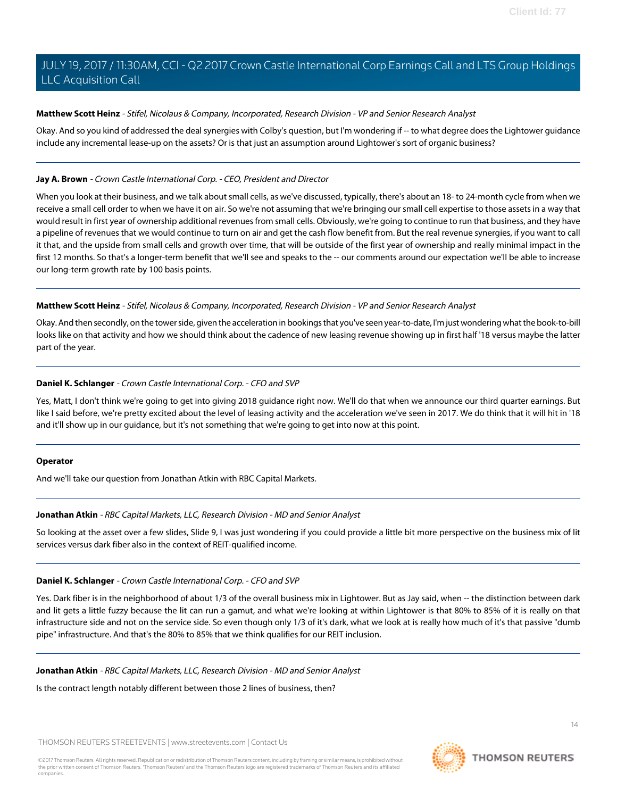### **Matthew Scott Heinz** - Stifel, Nicolaus & Company, Incorporated, Research Division - VP and Senior Research Analyst

Okay. And so you kind of addressed the deal synergies with Colby's question, but I'm wondering if -- to what degree does the Lightower guidance include any incremental lease-up on the assets? Or is that just an assumption around Lightower's sort of organic business?

### **Jay A. Brown** - Crown Castle International Corp. - CEO, President and Director

When you look at their business, and we talk about small cells, as we've discussed, typically, there's about an 18- to 24-month cycle from when we receive a small cell order to when we have it on air. So we're not assuming that we're bringing our small cell expertise to those assets in a way that would result in first year of ownership additional revenues from small cells. Obviously, we're going to continue to run that business, and they have a pipeline of revenues that we would continue to turn on air and get the cash flow benefit from. But the real revenue synergies, if you want to call it that, and the upside from small cells and growth over time, that will be outside of the first year of ownership and really minimal impact in the first 12 months. So that's a longer-term benefit that we'll see and speaks to the -- our comments around our expectation we'll be able to increase our long-term growth rate by 100 basis points.

### **Matthew Scott Heinz** - Stifel, Nicolaus & Company, Incorporated, Research Division - VP and Senior Research Analyst

Okay. And then secondly, on the tower side, given the acceleration in bookings that you've seen year-to-date, I'm just wondering what the book-to-bill looks like on that activity and how we should think about the cadence of new leasing revenue showing up in first half '18 versus maybe the latter part of the year.

### **Daniel K. Schlanger** - Crown Castle International Corp. - CFO and SVP

Yes, Matt, I don't think we're going to get into giving 2018 guidance right now. We'll do that when we announce our third quarter earnings. But like I said before, we're pretty excited about the level of leasing activity and the acceleration we've seen in 2017. We do think that it will hit in '18 and it'll show up in our guidance, but it's not something that we're going to get into now at this point.

### <span id="page-13-0"></span>**Operator**

And we'll take our question from Jonathan Atkin with RBC Capital Markets.

### **Jonathan Atkin** - RBC Capital Markets, LLC, Research Division - MD and Senior Analyst

So looking at the asset over a few slides, Slide 9, I was just wondering if you could provide a little bit more perspective on the business mix of lit services versus dark fiber also in the context of REIT-qualified income.

### **Daniel K. Schlanger** - Crown Castle International Corp. - CFO and SVP

Yes. Dark fiber is in the neighborhood of about 1/3 of the overall business mix in Lightower. But as Jay said, when -- the distinction between dark and lit gets a little fuzzy because the lit can run a gamut, and what we're looking at within Lightower is that 80% to 85% of it is really on that infrastructure side and not on the service side. So even though only 1/3 of it's dark, what we look at is really how much of it's that passive "dumb pipe" infrastructure. And that's the 80% to 85% that we think qualifies for our REIT inclusion.

**Jonathan Atkin** - RBC Capital Markets, LLC, Research Division - MD and Senior Analyst

Is the contract length notably different between those 2 lines of business, then?



 $14$